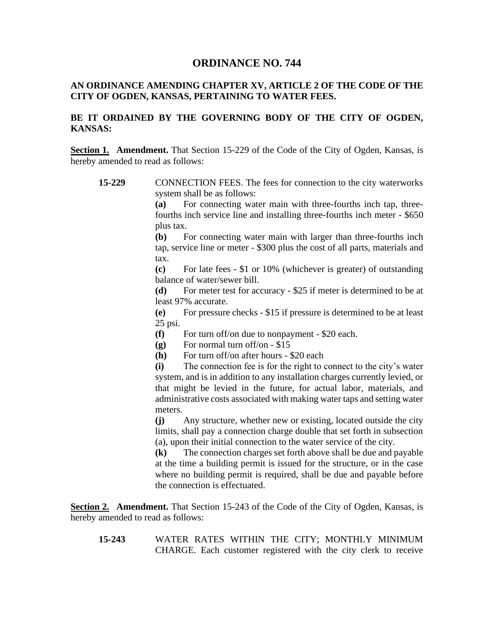## **ORDINANCE NO. 744**

## **AN ORDINANCE AMENDING CHAPTER XV, ARTICLE 2 OF THE CODE OF THE CITY OF OGDEN, KANSAS, PERTAINING TO WATER FEES.**

## **BE IT ORDAINED BY THE GOVERNING BODY OF THE CITY OF OGDEN, KANSAS:**

**Section 1.** Amendment. That Section 15-229 of the Code of the City of Ogden, Kansas, is hereby amended to read as follows:

**15-229** CONNECTION FEES. The fees for connection to the city waterworks system shall be as follows:

> **(a)** For connecting water main with three-fourths inch tap, threefourths inch service line and installing three-fourths inch meter - \$650 plus tax.

> **(b)** For connecting water main with larger than three-fourths inch tap, service line or meter - \$300 plus the cost of all parts, materials and tax.

> **(c)** For late fees - \$1 or 10% (whichever is greater) of outstanding balance of water/sewer bill.

> **(d)** For meter test for accuracy - \$25 if meter is determined to be at least 97% accurate.

> **(e)** For pressure checks - \$15 if pressure is determined to be at least 25 psi.

**(f)** For turn off/on due to nonpayment - \$20 each.

**(g)** For normal turn off/on - \$15

**(h)** For turn off/on after hours - \$20 each

**(i)** The connection fee is for the right to connect to the city's water system, and is in addition to any installation charges currently levied, or that might be levied in the future, for actual labor, materials, and administrative costs associated with making water taps and setting water meters.

**(j)** Any structure, whether new or existing, located outside the city limits, shall pay a connection charge double that set forth in subsection (a), upon their initial connection to the water service of the city.

**(k)** The connection charges set forth above shall be due and payable at the time a building permit is issued for the structure, or in the case where no building permit is required, shall be due and payable before the connection is effectuated.

**Section 2. Amendment.** That Section 15-243 of the Code of the City of Ogden, Kansas, is hereby amended to read as follows:

**15-243** WATER RATES WITHIN THE CITY; MONTHLY MINIMUM CHARGE. Each customer registered with the city clerk to receive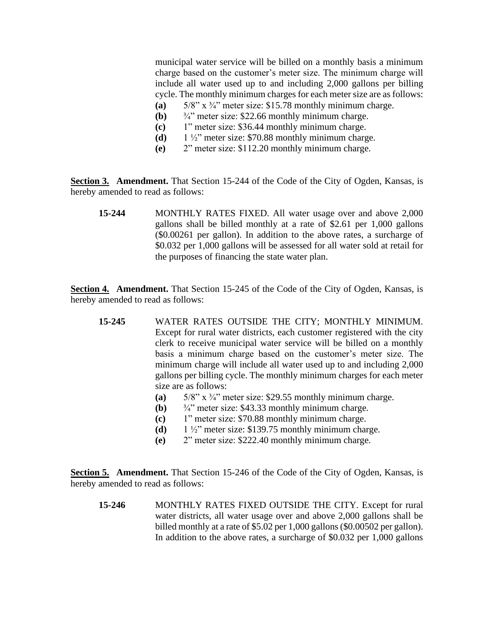municipal water service will be billed on a monthly basis a minimum charge based on the customer's meter size. The minimum charge will include all water used up to and including 2,000 gallons per billing cycle. The monthly minimum charges for each meter size are as follows:

- **(a)** 5/8" x ¾" meter size: \$15.78 monthly minimum charge.
- **(b)** ¾" meter size: \$22.66 monthly minimum charge.
- **(c)** 1" meter size: \$36.44 monthly minimum charge.
- **(d)** 1 ½" meter size: \$70.88 monthly minimum charge.
- **(e)** 2" meter size: \$112.20 monthly minimum charge.

**Section 3.** Amendment. That Section 15-244 of the Code of the City of Ogden, Kansas, is hereby amended to read as follows:

**15-244** MONTHLY RATES FIXED. All water usage over and above 2,000 gallons shall be billed monthly at a rate of \$2.61 per 1,000 gallons (\$0.00261 per gallon). In addition to the above rates, a surcharge of \$0.032 per 1,000 gallons will be assessed for all water sold at retail for the purposes of financing the state water plan.

**Section 4. Amendment.** That Section 15-245 of the Code of the City of Ogden, Kansas, is hereby amended to read as follows:

- **15-245** WATER RATES OUTSIDE THE CITY; MONTHLY MINIMUM. Except for rural water districts, each customer registered with the city clerk to receive municipal water service will be billed on a monthly basis a minimum charge based on the customer's meter size. The minimum charge will include all water used up to and including 2,000 gallons per billing cycle. The monthly minimum charges for each meter size are as follows:
	- **(a)** 5/8" x ¾" meter size: \$29.55 monthly minimum charge.
	- **(b)** ¾" meter size: \$43.33 monthly minimum charge.
	- **(c)** 1" meter size: \$70.88 monthly minimum charge.
	- **(d)** 1 ½" meter size: \$139.75 monthly minimum charge.
	- **(e)** 2" meter size: \$222.40 monthly minimum charge.

**Section 5.** Amendment. That Section 15-246 of the Code of the City of Ogden, Kansas, is hereby amended to read as follows:

**15-246** MONTHLY RATES FIXED OUTSIDE THE CITY. Except for rural water districts, all water usage over and above 2,000 gallons shall be billed monthly at a rate of \$5.02 per 1,000 gallons (\$0.00502 per gallon). In addition to the above rates, a surcharge of \$0.032 per 1,000 gallons